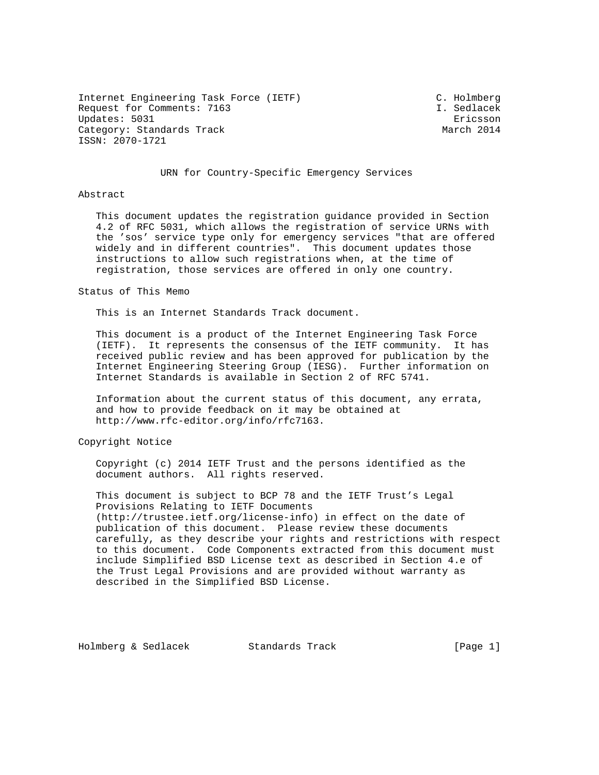Internet Engineering Task Force (IETF) C. Holmberg Request for Comments: 7163 I. Sedlacek Updates: 5031 Ericsson<br>Category: Standards Track entry and the control of the Bricsson Category: Standards Track ISSN: 2070-1721

## URN for Country-Specific Emergency Services

Abstract

 This document updates the registration guidance provided in Section 4.2 of RFC 5031, which allows the registration of service URNs with the 'sos' service type only for emergency services "that are offered widely and in different countries". This document updates those instructions to allow such registrations when, at the time of registration, those services are offered in only one country.

Status of This Memo

This is an Internet Standards Track document.

 This document is a product of the Internet Engineering Task Force (IETF). It represents the consensus of the IETF community. It has received public review and has been approved for publication by the Internet Engineering Steering Group (IESG). Further information on Internet Standards is available in Section 2 of RFC 5741.

 Information about the current status of this document, any errata, and how to provide feedback on it may be obtained at http://www.rfc-editor.org/info/rfc7163.

Copyright Notice

 Copyright (c) 2014 IETF Trust and the persons identified as the document authors. All rights reserved.

 This document is subject to BCP 78 and the IETF Trust's Legal Provisions Relating to IETF Documents (http://trustee.ietf.org/license-info) in effect on the date of publication of this document. Please review these documents carefully, as they describe your rights and restrictions with respect to this document. Code Components extracted from this document must include Simplified BSD License text as described in Section 4.e of the Trust Legal Provisions and are provided without warranty as described in the Simplified BSD License.

Holmberg & Sedlacek Standards Track [Page 1]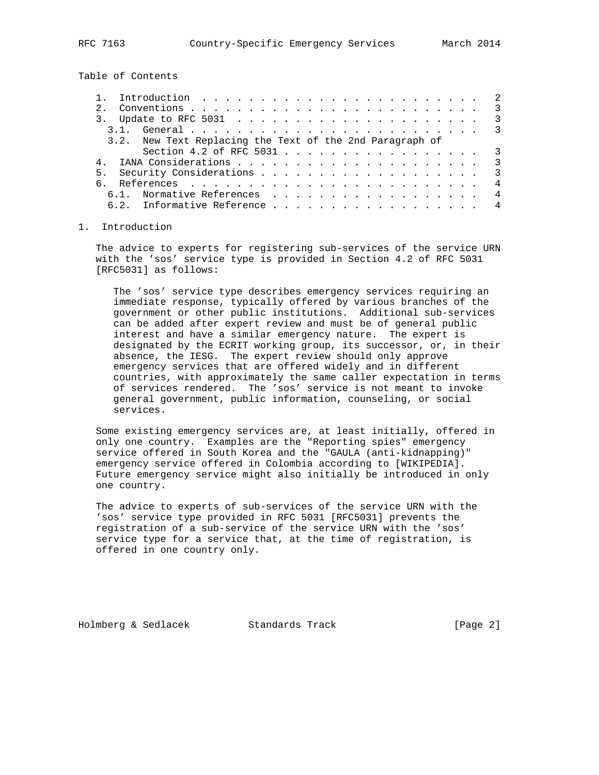Table of Contents

|                                                          |  |                       |  |  |  |  |  |  |  |  |  |   |  |  |  |  | $\mathcal{R}$  |
|----------------------------------------------------------|--|-----------------------|--|--|--|--|--|--|--|--|--|---|--|--|--|--|----------------|
|                                                          |  |                       |  |  |  |  |  |  |  |  |  |   |  |  |  |  | $\mathcal{R}$  |
|                                                          |  |                       |  |  |  |  |  |  |  |  |  |   |  |  |  |  |                |
| 3.2. New Text Replacing the Text of the 2nd Paragraph of |  |                       |  |  |  |  |  |  |  |  |  |   |  |  |  |  |                |
|                                                          |  |                       |  |  |  |  |  |  |  |  |  |   |  |  |  |  |                |
|                                                          |  |                       |  |  |  |  |  |  |  |  |  |   |  |  |  |  | $\mathcal{R}$  |
|                                                          |  |                       |  |  |  |  |  |  |  |  |  |   |  |  |  |  | $\mathcal{L}$  |
| 6                                                        |  |                       |  |  |  |  |  |  |  |  |  | 4 |  |  |  |  |                |
|                                                          |  |                       |  |  |  |  |  |  |  |  |  |   |  |  |  |  | 4              |
|                                                          |  | Informative Reference |  |  |  |  |  |  |  |  |  |   |  |  |  |  | $\overline{4}$ |
|                                                          |  |                       |  |  |  |  |  |  |  |  |  |   |  |  |  |  |                |

## 1. Introduction

 The advice to experts for registering sub-services of the service URN with the 'sos' service type is provided in Section 4.2 of RFC 5031 [RFC5031] as follows:

 The 'sos' service type describes emergency services requiring an immediate response, typically offered by various branches of the government or other public institutions. Additional sub-services can be added after expert review and must be of general public interest and have a similar emergency nature. The expert is designated by the ECRIT working group, its successor, or, in their absence, the IESG. The expert review should only approve emergency services that are offered widely and in different countries, with approximately the same caller expectation in terms of services rendered. The 'sos' service is not meant to invoke general government, public information, counseling, or social services.

 Some existing emergency services are, at least initially, offered in only one country. Examples are the "Reporting spies" emergency service offered in South Korea and the "GAULA (anti-kidnapping)" emergency service offered in Colombia according to [WIKIPEDIA]. Future emergency service might also initially be introduced in only one country.

 The advice to experts of sub-services of the service URN with the 'sos' service type provided in RFC 5031 [RFC5031] prevents the registration of a sub-service of the service URN with the 'sos' service type for a service that, at the time of registration, is offered in one country only.

Holmberg & Sedlacek Standards Track [Page 2]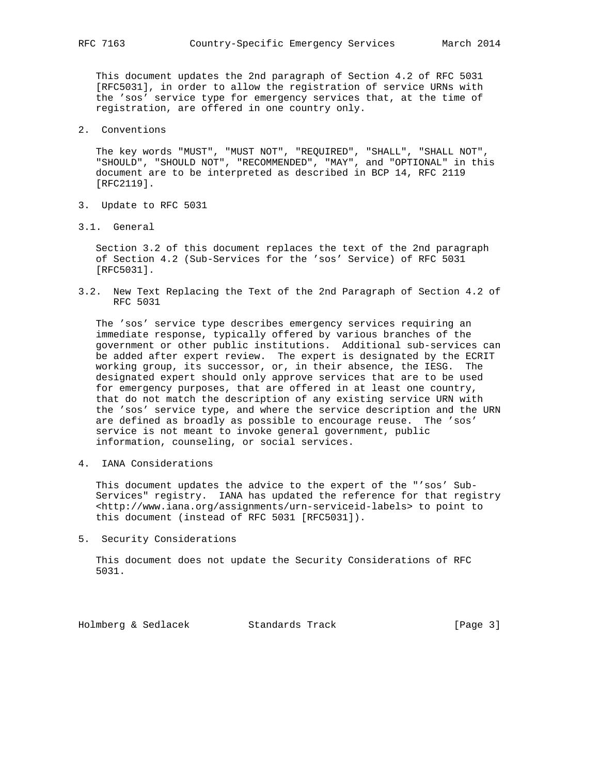This document updates the 2nd paragraph of Section 4.2 of RFC 5031 [RFC5031], in order to allow the registration of service URNs with the 'sos' service type for emergency services that, at the time of registration, are offered in one country only.

2. Conventions

 The key words "MUST", "MUST NOT", "REQUIRED", "SHALL", "SHALL NOT", "SHOULD", "SHOULD NOT", "RECOMMENDED", "MAY", and "OPTIONAL" in this document are to be interpreted as described in BCP 14, RFC 2119 [RFC2119].

- 3. Update to RFC 5031
- 3.1. General

 Section 3.2 of this document replaces the text of the 2nd paragraph of Section 4.2 (Sub-Services for the 'sos' Service) of RFC 5031 [RFC5031].

3.2. New Text Replacing the Text of the 2nd Paragraph of Section 4.2 of RFC 5031

 The 'sos' service type describes emergency services requiring an immediate response, typically offered by various branches of the government or other public institutions. Additional sub-services can be added after expert review. The expert is designated by the ECRIT working group, its successor, or, in their absence, the IESG. The designated expert should only approve services that are to be used for emergency purposes, that are offered in at least one country, that do not match the description of any existing service URN with the 'sos' service type, and where the service description and the URN are defined as broadly as possible to encourage reuse. The 'sos' service is not meant to invoke general government, public information, counseling, or social services.

4. IANA Considerations

 This document updates the advice to the expert of the "'sos' Sub- Services" registry. IANA has updated the reference for that registry <http://www.iana.org/assignments/urn-serviceid-labels> to point to this document (instead of RFC 5031 [RFC5031]).

5. Security Considerations

 This document does not update the Security Considerations of RFC 5031.

Holmberg & Sedlacek Standards Track [Page 3]